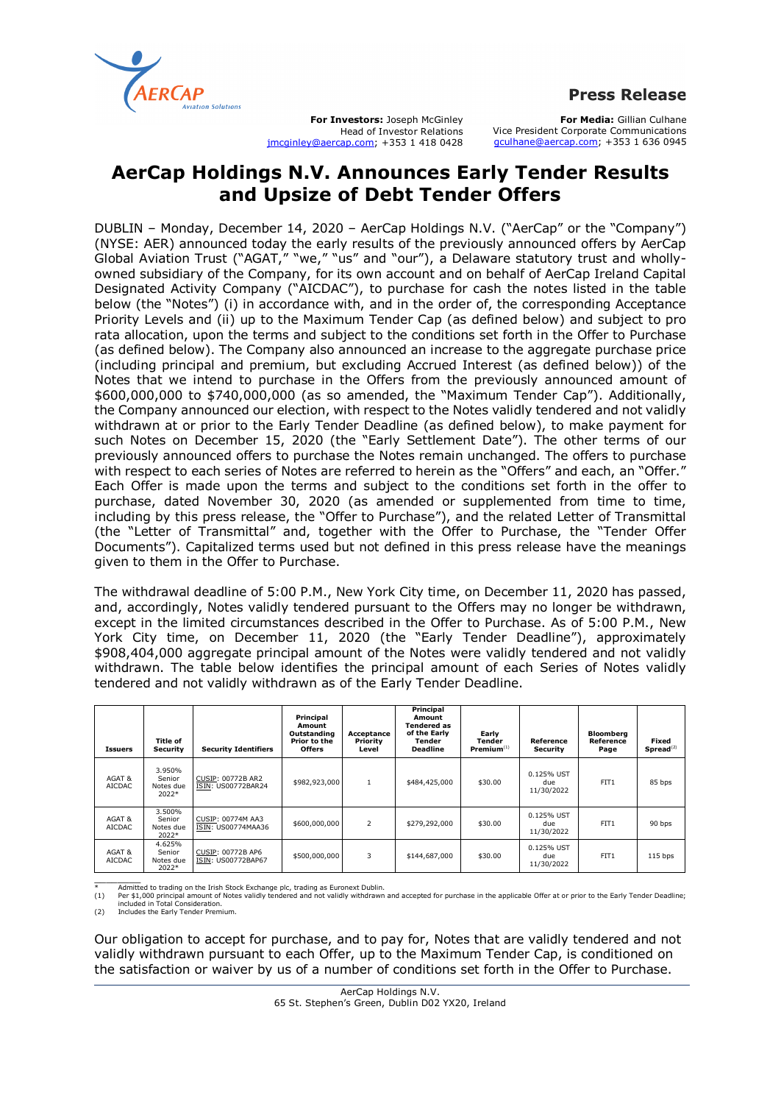

#### **Press Release**

**For Investors:** Joseph McGinley Head of Investor Relations [jmcginley@aercap.com;](mailto:jmcginley@aercap.com) +353 1 418 0428

**For Media:** Gillian Culhane Vice President Corporate Communications [gculhane@aercap.com;](mailto:gculhane@aercap.com) +353 1 636 0945

# **AerCap Holdings N.V. Announces Early Tender Results and Upsize of Debt Tender Offers**

DUBLIN – Monday, December 14, 2020 – AerCap Holdings N.V. ("AerCap" or the "Company") (NYSE: AER) announced today the early results of the previously announced offers by AerCap Global Aviation Trust ("AGAT," "we," "us" and "our"), a Delaware statutory trust and whollyowned subsidiary of the Company, for its own account and on behalf of AerCap Ireland Capital Designated Activity Company ("AICDAC"), to purchase for cash the notes listed in the table below (the "Notes") (i) in accordance with, and in the order of, the corresponding Acceptance Priority Levels and (ii) up to the Maximum Tender Cap (as defined below) and subject to pro rata allocation, upon the terms and subject to the conditions set forth in the Offer to Purchase (as defined below). The Company also announced an increase to the aggregate purchase price (including principal and premium, but excluding Accrued Interest (as defined below)) of the Notes that we intend to purchase in the Offers from the previously announced amount of \$600,000,000 to \$740,000,000 (as so amended, the "Maximum Tender Cap"). Additionally, the Company announced our election, with respect to the Notes validly tendered and not validly withdrawn at or prior to the Early Tender Deadline (as defined below), to make payment for such Notes on December 15, 2020 (the "Early Settlement Date"). The other terms of our previously announced offers to purchase the Notes remain unchanged. The offers to purchase with respect to each series of Notes are referred to herein as the "Offers" and each, an "Offer." Each Offer is made upon the terms and subject to the conditions set forth in the offer to purchase, dated November 30, 2020 (as amended or supplemented from time to time, including by this press release, the "Offer to Purchase"), and the related Letter of Transmittal (the "Letter of Transmittal" and, together with the Offer to Purchase, the "Tender Offer Documents"). Capitalized terms used but not defined in this press release have the meanings given to them in the Offer to Purchase.

The withdrawal deadline of 5:00 P.M., New York City time, on December 11, 2020 has passed, and, accordingly, Notes validly tendered pursuant to the Offers may no longer be withdrawn, except in the limited circumstances described in the Offer to Purchase. As of 5:00 P.M., New York City time, on December 11, 2020 (the "Early Tender Deadline"), approximately \$908,404,000 aggregate principal amount of the Notes were validly tendered and not validly withdrawn. The table below identifies the principal amount of each Series of Notes validly tendered and not validly withdrawn as of the Early Tender Deadline.

| <b>Issuers</b>         | Title of<br>Security                   | <b>Security Identifiers</b>             | Principal<br>Amount<br>Outstanding<br>Prior to the<br><b>Offers</b> | Acceptance<br>Priority<br>Level | Principal<br>Amount<br><b>Tendered as</b><br>of the Early<br>Tender<br><b>Deadline</b> | Early<br>Tender<br>Premium <sup>(1)</sup> | Reference<br>Security           | Bloomberg<br>Reference<br>Page | Fixed<br>$S$ pread $(2)$ |
|------------------------|----------------------------------------|-----------------------------------------|---------------------------------------------------------------------|---------------------------------|----------------------------------------------------------------------------------------|-------------------------------------------|---------------------------------|--------------------------------|--------------------------|
| AGAT&<br><b>AICDAC</b> | 3.950%<br>Senior<br>Notes due<br>2022* | CUSIP: 00772B AR2<br>ISIN: US00772BAR24 | \$982,923,000                                                       | $\mathbf{1}$                    | \$484,425,000                                                                          | \$30.00                                   | 0.125% UST<br>due<br>11/30/2022 | FIT <sub>1</sub>               | 85 bps                   |
| AGAT&<br><b>AICDAC</b> | 3.500%<br>Senior<br>Notes due<br>2022* | CUSIP: 00774M AA3<br>ISIN: US00774MAA36 | \$600,000,000                                                       | $\overline{\phantom{a}}$        | \$279,292,000                                                                          | \$30.00                                   | 0.125% UST<br>due<br>11/30/2022 | FIT <sub>1</sub>               | 90 bps                   |
| AGAT&<br><b>AICDAC</b> | 4.625%<br>Senior<br>Notes due<br>2022* | CUSIP: 00772B AP6<br>ISIN: US00772BAP67 | \$500,000,000                                                       | 3                               | \$144,687,000                                                                          | \$30.00                                   | 0.125% UST<br>due<br>11/30/2022 | FIT <sub>1</sub>               | $115$ bps                |

\_\_\_\_\_\_\_\_ \* Admitted to trading on the Irish Stock Exchange plc, trading as Euronext Dublin.

(1) Per \$1,000 principal amount of Notes validly tendered and not validly withdrawn and accepted for purchase in the applicable Offer at or prior to the Early Tender Deadline; included in Total Consideration. (2) Includes the Early Tender Premium.

Our obligation to accept for purchase, and to pay for, Notes that are validly tendered and not validly withdrawn pursuant to each Offer, up to the Maximum Tender Cap, is conditioned on the satisfaction or waiver by us of a number of conditions set forth in the Offer to Purchase.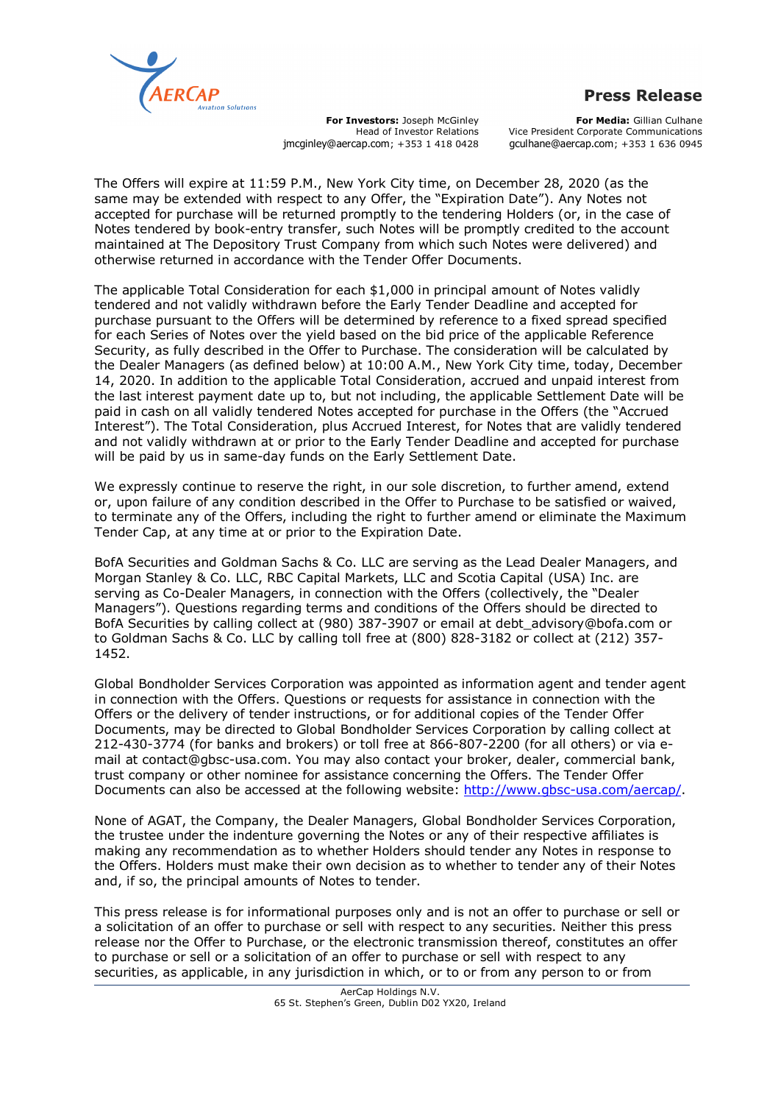

## **Press Release**

**For Investors:** Joseph McGinley Head of Investor Relations [jmcginley@aercap.com](mailto:jmcginley@aercap.com); +353 1 418 0428

**For Media:** Gillian Culhane Vice President Corporate Communications [gculhane@aercap.com](mailto:gculhane@aercap.com); +353 1 636 0945

The Offers will expire at 11:59 P.M., New York City time, on December 28, 2020 (as the same may be extended with respect to any Offer, the "Expiration Date"). Any Notes not accepted for purchase will be returned promptly to the tendering Holders (or, in the case of Notes tendered by book-entry transfer, such Notes will be promptly credited to the account maintained at The Depository Trust Company from which such Notes were delivered) and otherwise returned in accordance with the Tender Offer Documents.

The applicable Total Consideration for each \$1,000 in principal amount of Notes validly tendered and not validly withdrawn before the Early Tender Deadline and accepted for purchase pursuant to the Offers will be determined by reference to a fixed spread specified for each Series of Notes over the yield based on the bid price of the applicable Reference Security, as fully described in the Offer to Purchase. The consideration will be calculated by the Dealer Managers (as defined below) at 10:00 A.M., New York City time, today, December 14, 2020. In addition to the applicable Total Consideration, accrued and unpaid interest from the last interest payment date up to, but not including, the applicable Settlement Date will be paid in cash on all validly tendered Notes accepted for purchase in the Offers (the "Accrued Interest"). The Total Consideration, plus Accrued Interest, for Notes that are validly tendered and not validly withdrawn at or prior to the Early Tender Deadline and accepted for purchase will be paid by us in same-day funds on the Early Settlement Date.

We expressly continue to reserve the right, in our sole discretion, to further amend, extend or, upon failure of any condition described in the Offer to Purchase to be satisfied or waived, to terminate any of the Offers, including the right to further amend or eliminate the Maximum Tender Cap, at any time at or prior to the Expiration Date.

BofA Securities and Goldman Sachs & Co. LLC are serving as the Lead Dealer Managers, and Morgan Stanley & Co. LLC, RBC Capital Markets, LLC and Scotia Capital (USA) Inc. are serving as Co-Dealer Managers, in connection with the Offers (collectively, the "Dealer Managers"). Questions regarding terms and conditions of the Offers should be directed to BofA Securities by calling collect at (980) 387-3907 or email at debt\_advisory@bofa.com or to Goldman Sachs & Co. LLC by calling toll free at (800) 828-3182 or collect at (212) 357- 1452.

Global Bondholder Services Corporation was appointed as information agent and tender agent in connection with the Offers. Questions or requests for assistance in connection with the Offers or the delivery of tender instructions, or for additional copies of the Tender Offer Documents, may be directed to Global Bondholder Services Corporation by calling collect at 212-430-3774 (for banks and brokers) or toll free at 866-807-2200 (for all others) or via email at contact@gbsc-usa.com. You may also contact your broker, dealer, commercial bank, trust company or other nominee for assistance concerning the Offers. The Tender Offer Documents can also be accessed at the following website: [http://www.gbsc-usa.com/aercap/.](http://www.gbsc-usa.com/aercap/)

None of AGAT, the Company, the Dealer Managers, Global Bondholder Services Corporation, the trustee under the indenture governing the Notes or any of their respective affiliates is making any recommendation as to whether Holders should tender any Notes in response to the Offers. Holders must make their own decision as to whether to tender any of their Notes and, if so, the principal amounts of Notes to tender.

This press release is for informational purposes only and is not an offer to purchase or sell or a solicitation of an offer to purchase or sell with respect to any securities. Neither this press release nor the Offer to Purchase, or the electronic transmission thereof, constitutes an offer to purchase or sell or a solicitation of an offer to purchase or sell with respect to any securities, as applicable, in any jurisdiction in which, or to or from any person to or from